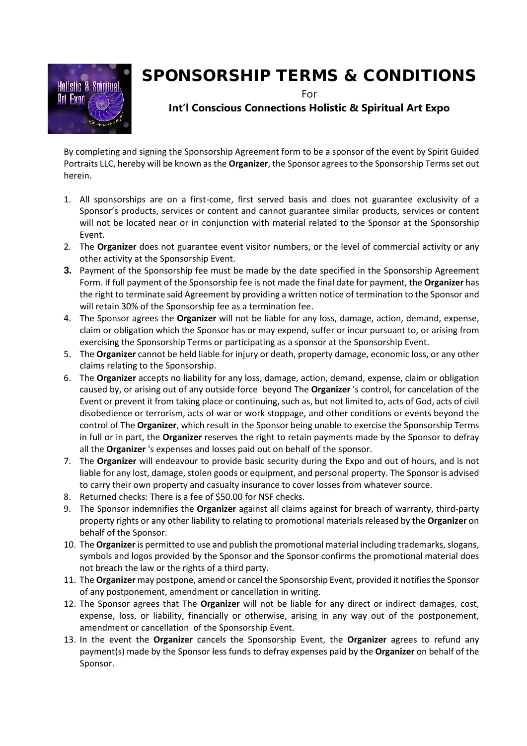

## SPONSORSHIP TERMS & CONDITIONS

For

## **Int'l Conscious Connections Holistic & Spiritual Art Expo**

By completing and signing the Sponsorship Agreement form to be a sponsor of the event by Spirit Guided Portraits LLC, hereby will be known as the **Organizer**, the Sponsor agrees to the Sponsorship Terms set out herein.

- 1. All sponsorships are on a first-come, first served basis and does not guarantee exclusivity of a Sponsor's products, services or content and cannot guarantee similar products, services or content will not be located near or in conjunction with material related to the Sponsor at the Sponsorship Event.
- 2. The **Organizer** does not guarantee event visitor numbers, or the level of commercial activity or any other activity at the Sponsorship Event.
- **3.** Payment of the Sponsorship fee must be made by the date specified in the Sponsorship Agreement Form. If full payment of the Sponsorship fee is not made the final date for payment, the **Organizer** has the right to terminate said Agreement by providing a written notice of termination to the Sponsor and will retain 30% of the Sponsorship fee as a termination fee.
- 4. The Sponsor agrees the **Organizer** will not be liable for any loss, damage, action, demand, expense, claim or obligation which the Sponsor has or may expend, suffer or incur pursuant to, or arising from exercising the Sponsorship Terms or participating as a sponsor at the Sponsorship Event.
- 5. The **Organizer** cannot be held liable for injury or death, property damage, economic loss, or any other claims relating to the Sponsorship.
- 6. The **Organizer** accepts no liability for any loss, damage, action, demand, expense, claim or obligation caused by, or arising out of any outside force beyond The **Organizer** 's control, for cancelation of the Event or prevent it from taking place or continuing, such as, but not limited to, acts of God, acts of civil disobedience or terrorism, acts of war or work stoppage, and other conditions or events beyond the control of The **Organizer**, which result in the Sponsor being unable to exercise the Sponsorship Terms in full or in part, the **Organizer** reserves the right to retain payments made by the Sponsor to defray all the **Organizer** 's expenses and losses paid out on behalf of the sponsor.
- 7. The **Organizer** will endeavour to provide basic security during the Expo and out of hours, and is not liable for any lost, damage, stolen goods or equipment, and personal property. The Sponsor is advised to carry their own property and casualty insurance to cover losses from whatever source.
- 8. Returned checks: There is a fee of \$50.00 for NSF checks.
- 9. The Sponsor indemnifies the **Organizer** against all claims against for breach of warranty, third-party property rights or any other liability to relating to promotional materials released by the **Organizer** on behalf of the Sponsor.
- 10. The **Organizer** is permitted to use and publish the promotional material including trademarks, slogans, symbols and logos provided by the Sponsor and the Sponsor confirms the promotional material does not breach the law or the rights of a third party.
- 11. The **Organizer** may postpone, amend or cancel the Sponsorship Event, provided it notifies the Sponsor of any postponement, amendment or cancellation in writing.
- 12. The Sponsor agrees that The **Organizer** will not be liable for any direct or indirect damages, cost, expense, loss, or liability, financially or otherwise, arising in any way out of the postponement, amendment or cancellation of the Sponsorship Event.
- 13. In the event the **Organizer** cancels the Sponsorship Event, the **Organizer** agrees to refund any payment(s) made by the Sponsor less funds to defray expenses paid by the **Organizer** on behalf of the Sponsor.